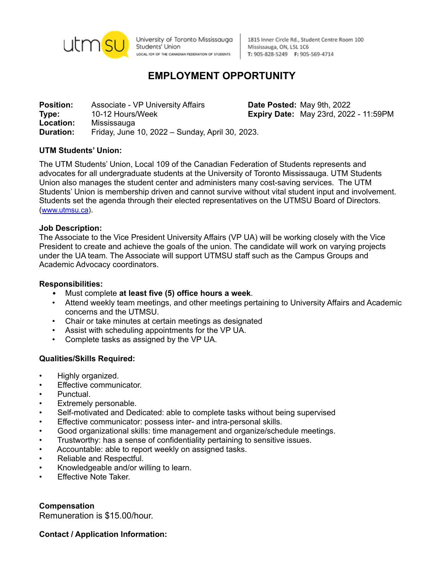

University of Toronto Mississauga Students' Union LOCAL IO9 OF THE CANADIAN FEDERATION OF STUDENTS

1815 Inner Circle Rd., Student Centre Room 100 Mississauga, ON, L5L 1C6 T: 905-828-5249 F: 905-569-4714

# **EMPLOYMENT OPPORTUNITY**

**Position:** Associate - VP University Affairs **Date Posted:** May 9th, 2022 **Type:** 10-12 Hours/Week **Expiry Date:** May 23rd, 2022 - 11:59PM **Location:** Mississauga **Duration:** Friday, June 10, 2022 – Sunday, April 30, 2023.

### **UTM Students' Union:**

The UTM Students' Union, Local 109 of the Canadian Federation of Students represents and advocates for all undergraduate students at the University of Toronto Mississauga. UTM Students Union also manages the student center and administers many cost-saving services. The UTM Students' Union is membership driven and cannot survive without vital student input and involvement. Students set the agenda through their elected representatives on the UTMSU Board of Directors. ([www.utmsu.ca](http://www.utmsu.ca)).

#### **Job Description:**

The Associate to the Vice President University Affairs (VP UA) will be working closely with the Vice President to create and achieve the goals of the union. The candidate will work on varying projects under the UA team. The Associate will support UTMSU staff such as the Campus Groups and Academic Advocacy coordinators.

#### **Responsibilities:**

- Must complete **at least five (5) office hours a week**.
- Attend weekly team meetings, and other meetings pertaining to University Affairs and Academic concerns and the UTMSU.
- Chair or take minutes at certain meetings as designated
- Assist with scheduling appointments for the VP UA.
- Complete tasks as assigned by the VP UA.

### **Qualities/Skills Required:**

- Highly organized.
- Effective communicator.
- Punctual.
- Extremely personable.
- Self-motivated and Dedicated: able to complete tasks without being supervised
- Effective communicator: possess inter- and intra-personal skills.
- Good organizational skills: time management and organize/schedule meetings.
- Trustworthy: has a sense of confidentiality pertaining to sensitive issues.
- Accountable: able to report weekly on assigned tasks.
- Reliable and Respectful.
- Knowledgeable and/or willing to learn.
- Effective Note Taker.

**Compensation** Remuneration is \$15.00/hour.

### **Contact / Application Information:**